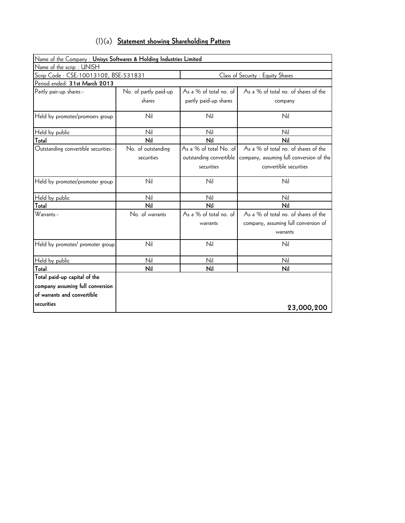| $(1)(a)$ Statement showing Shareholding Pattern |
|-------------------------------------------------|
|-------------------------------------------------|

| Name of the Company : Unisys Softwares & Holding Industries Limited |                       |                         |                                          |
|---------------------------------------------------------------------|-----------------------|-------------------------|------------------------------------------|
| Name of the scrip: UNISH                                            |                       |                         |                                          |
| Scrip Code: CSE-10013102, BSE-531831                                |                       |                         | Class of Security : Equity Shares        |
| Period ended: 31st March 2013                                       |                       |                         |                                          |
| Partly pair-up shares:-                                             | No. of partly paid-up | As a % of total no. of  | As a % of total no. of shares of the     |
|                                                                     | shares                | partly paid-up shares   | company                                  |
| Held by promoter/promoers group                                     | Nil                   | Nil                     | Nil                                      |
| Held by public                                                      | Nil                   | Nil                     | Nil                                      |
| Total                                                               | Nil                   | Nil                     | Nil                                      |
| Outstanding convertible securities:-                                | No. of outstanding    | As a % of total No. of  | As a % of total no. of shares of the     |
|                                                                     | securities            | outstanding convertible | company, assuming full conversion of the |
|                                                                     |                       | securities              | convertible securities                   |
| Held by promoter/promoter group                                     | Nil                   | Nil                     | Nil                                      |
| Held by public                                                      | Nil                   | Nil                     | Nil                                      |
| Total                                                               | Nil                   | Nil                     | Nil                                      |
| Warrants:-                                                          | No. of warrants       | As a % of total no. of  | As a % of total no. of shares of the     |
|                                                                     |                       | warrants                | company, assuming full conversion of     |
|                                                                     |                       |                         | warrants                                 |
| Held by promoter/ promoter group                                    | Nil                   | Nil                     | Nil                                      |
| Held by public                                                      | Nil                   | Nil                     | Nil                                      |
| Total                                                               | Nil                   | Nil                     | Nil                                      |
| Total paid-up capital of the                                        |                       |                         |                                          |
| company assuming full conversion                                    |                       |                         |                                          |
| of warrants and convertible                                         |                       |                         |                                          |
| securities                                                          |                       |                         | 23,000,200                               |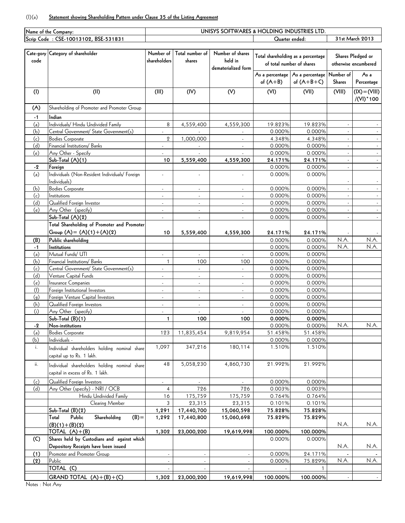## (I)(a) **Statement showing Shareholding Pattern under Clause 35 of the Listing Agreement**

|      | Name of the Company:                           | UNISYS SOFTWARES & HOLDING INDUSTRIES LTD |                          |                     |                                    |                                 |                 |                      |  |
|------|------------------------------------------------|-------------------------------------------|--------------------------|---------------------|------------------------------------|---------------------------------|-----------------|----------------------|--|
|      | Scrip Code : CSE-10013102, BSE-531831          |                                           |                          |                     | Quarter ended:                     |                                 | 31st March 2013 |                      |  |
|      |                                                |                                           |                          |                     |                                    |                                 |                 |                      |  |
|      | Cate-gory Category of shareholder              | Number of                                 | Total number of          | Number of shares    | Total shareholding as a percentage |                                 |                 | Shares Pledged or    |  |
| code |                                                | shareholders                              | shares                   | held in             | of total number of shares          |                                 |                 | otherwise encumbered |  |
|      |                                                |                                           |                          | dematerialized form |                                    |                                 |                 |                      |  |
|      |                                                |                                           |                          |                     |                                    | As a percentage As a percentage | Number of       | As a                 |  |
|      |                                                |                                           |                          |                     | of $(A+B)$                         | of $(A+B+C)$                    | <b>Shares</b>   | Percentage           |  |
| (1)  | (II)                                           | (III)                                     | (IV)                     | (V)                 | (VI)                               | (VII)                           | (VIII)          | $(IX) = (VIII)$      |  |
|      |                                                |                                           |                          |                     |                                    |                                 |                 | /(VI) * 100          |  |
|      | Shareholding of Promoter and Promoter Group    |                                           |                          |                     |                                    |                                 |                 |                      |  |
| (A)  |                                                |                                           |                          |                     |                                    |                                 |                 |                      |  |
| $-1$ | Indian                                         |                                           |                          |                     |                                    |                                 |                 |                      |  |
| (a)  | Individuals/ Hindu Undivided Family            | 8                                         | 4,559,400                | 4,559,300           | 19.823%                            | 19.823%                         |                 |                      |  |
| (b)  | Central Government/ State Government(s)        |                                           |                          |                     | 0.000%                             | 0.000%                          |                 |                      |  |
| (c)  | <b>Bodies Corporate</b>                        | $\overline{2}$                            | 1,000,000                |                     | 4.348%                             | 4.348%                          | $\sim$          |                      |  |
| (d)  | Financial Institutions/ Banks                  | L.                                        |                          |                     | 0.000%                             | 0.000%                          |                 |                      |  |
| (e)  | Any Other - Specify                            |                                           |                          |                     | 0.000%                             | 0.000%                          |                 |                      |  |
|      | Sub-Total (A)(1)                               | 10                                        | 5,559,400                | 4,559,300           | 24.171%                            | 24.171%                         | $\mathcal{L}$   |                      |  |
| -2   | Foreign                                        |                                           |                          |                     | 0.000%                             | 0.000%                          |                 |                      |  |
| (a)  | Individuals (Non-Resident Individuals/ Foreign | ÷,                                        | ÷.                       | ÷                   | 0.000%                             | 0.000%                          |                 |                      |  |
|      | Individuals)                                   |                                           |                          |                     |                                    |                                 |                 |                      |  |
| (b)  | <b>Bodies Corporate</b>                        |                                           |                          |                     | 0.000%                             | 0.000%                          |                 |                      |  |
| (c)  | Institutions                                   | ä,                                        | ÷,                       | $\overline{a}$      | 0.000%                             | 0.000%                          | $\overline{a}$  |                      |  |
| (d)  | Qualified Foreign Investor                     | $\blacksquare$                            | $\blacksquare$           | $\mathbf{r}$        | 0.000%                             | 0.000%                          |                 |                      |  |
| (e)  | Any Other (specify)                            | $\overline{\phantom{0}}$                  |                          |                     | 0.000%                             | 0.000%                          |                 |                      |  |
|      | Sub-Total (A)(2)                               | ÷,                                        | ÷,                       |                     | 0.000%                             | 0.000%                          |                 |                      |  |
|      | Total Shareholding of Promoter and Promoter    |                                           |                          |                     |                                    |                                 |                 |                      |  |
|      | Group $(A) = (A)(1) + (A)(2)$                  | 10                                        | 5,559,400                | 4,559,300           | 24.171%                            | 24.171%                         |                 |                      |  |
| (B)  | Public shareholding                            |                                           |                          |                     | 0.000%                             | 0.000%                          | N.A.            | N.A.                 |  |
| $-1$ | Institutions                                   |                                           |                          |                     | 0.000%                             | 0.000%                          | N.A.            | N.A.                 |  |
| (a)  | Mutual Funds/ UTI                              | $\blacksquare$                            | $\blacksquare$           |                     | 0.000%                             | 0.000%                          |                 |                      |  |
| (b)  | Financial Institutions/ Banks                  | $\mathbf{1}$                              | 100                      | 100                 | 0.000%                             | 0.000%                          |                 |                      |  |
| (c)  | Central Government/ State Government(s)        |                                           | $\overline{\phantom{a}}$ |                     | 0.000%                             | 0.000%                          |                 |                      |  |
| (d)  | Venture Capital Funds                          |                                           |                          |                     | 0.000%                             | 0.000%                          |                 |                      |  |
| (e)  | Insurance Companies                            | $\blacksquare$                            | $\Box$                   | ÷.                  | 0.000%                             | 0.000%                          |                 |                      |  |
| (f)  | Foreign Institutional Investors                | $\blacksquare$                            | $\overline{\phantom{a}}$ | $\mathbf{r}$        | 0.000%                             | 0.000%                          |                 |                      |  |
| (g)  | Foreign Venture Capital Investors              | $\overline{\phantom{0}}$                  | $\overline{a}$           | ÷,                  | 0.000%                             | 0.000%                          |                 |                      |  |
| (h)  | Qualified Foreign Investors                    | $\blacksquare$                            | $\overline{\phantom{a}}$ | ä,                  | 0.000%                             | 0.000%                          |                 |                      |  |
| (i)  | Any Other (specify)                            |                                           |                          |                     | 0.000%                             | 0.000%                          |                 |                      |  |
|      | $Sub-Total (B)(1)$                             | $\mathbf{1}$                              | 100                      | 100                 | 0.000%                             | 0.000%                          |                 |                      |  |
| $-2$ | Non-institutions                               |                                           |                          |                     | 0.000%                             | 0.000%                          | N.A.            | N.A.                 |  |
| (a)  | <b>Bodies Corporate</b>                        | 123                                       | 11,835,454               | 9,819,954           | 51.458%                            | 51.458%                         |                 |                      |  |
| (b)  | Individuals -                                  |                                           |                          |                     | 0.000%                             | 0.000%                          |                 |                      |  |
| i.   | Individual shareholders holding nominal share  | 1,097                                     | 347,216                  | 180,114             | 1.510%                             | 1.510%                          |                 |                      |  |
|      | capital up to Rs. 1 lakh.                      |                                           |                          |                     |                                    |                                 |                 |                      |  |
| ii.  | Individual shareholders holding nominal share  | 48                                        | 5,058,230                | 4,860,730           | 21.992%                            | 21.992%                         |                 |                      |  |
|      | capital in excess of Rs. 1 lakh.               |                                           |                          |                     |                                    |                                 |                 |                      |  |
|      |                                                |                                           |                          |                     |                                    |                                 |                 |                      |  |
| (c)  | Qualified Foreign Investors                    | $\blacksquare$                            | $\omega$                 |                     | 0.000%                             | 0.000%                          |                 |                      |  |
| (d)  | Any Other (specify) - NRI / OCB                | 4                                         | 726                      | 726                 | 0.003%                             | 0.003%                          |                 |                      |  |
|      | Hindu Undivided Family                         | 16                                        | 175,759                  | 175,759             | 0.764%                             | 0.764%                          |                 |                      |  |
|      | Clearing Member                                | 3                                         | 23,315                   | 23,315              | 0.101%                             | 0.101%                          |                 |                      |  |
|      | Sub-Total (B)(2)                               | 1,291                                     | 17,440,700               | 15,060,598          | 75.828%                            | 75.828%                         |                 |                      |  |
|      | Total<br>Public<br>Shareholding<br>$(B) =$     | 1,292                                     | 17,440,800               | 15,060,698          | 75.829%                            | 75.829%                         |                 |                      |  |
|      | $(B)(1)+(B)(2)$                                |                                           |                          |                     |                                    |                                 | N.A.            | N.A.                 |  |
|      | TOTAL $(A)+(B)$                                | 1,302                                     | 23,000,200               | 19,619,998          | 100.000%                           | 100.000%                        |                 |                      |  |
| (C)  | Shares held by Custodians and against which    |                                           |                          |                     | 0.000%                             | 0.000%                          |                 |                      |  |
|      | Depository Receipts have been issued           |                                           |                          |                     |                                    |                                 | N.A.            | N.A.                 |  |
| (1)  | Promoter and Promoter Group                    |                                           |                          |                     | 0.000%                             | 24.171%                         |                 |                      |  |
| (2)  | Public                                         | $\blacksquare$                            | $\blacksquare$           | $\omega$            | 0.000%                             | 75.829%                         | N.A.            | N.A.                 |  |
|      | TOTAL (C)                                      |                                           |                          |                     |                                    | 1                               |                 |                      |  |
|      | GRAND TOTAL $(A)+(B)+(C)$                      | 1,302                                     | 23,000,200               | 19,619,998          | 100.000%                           | 100.000%                        |                 |                      |  |

Notes : Not Any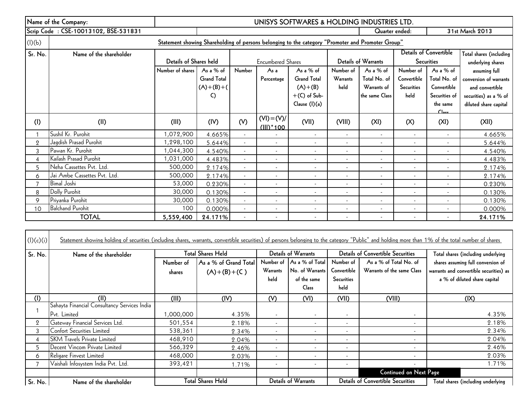|                | Name of the Company:                                                                              | UNISYS SOFTWARES & HOLDING INDUSTRIES LTD. |                    |                          |                               |                          |                          |                          |                              |                               |                         |
|----------------|---------------------------------------------------------------------------------------------------|--------------------------------------------|--------------------|--------------------------|-------------------------------|--------------------------|--------------------------|--------------------------|------------------------------|-------------------------------|-------------------------|
|                | Scrip Code: CSE-10013102, BSE-531831                                                              | Quarter ended:                             |                    |                          |                               |                          | 31st March 2013          |                          |                              |                               |                         |
| (l)(b)         | Statement showing Shareholding of persons belonging to the category "Promoter and Promoter Group" |                                            |                    |                          |                               |                          |                          |                          |                              |                               |                         |
| Sr. No.        | Name of the shareholder                                                                           |                                            |                    |                          |                               |                          |                          |                          |                              | <b>Details of Convertible</b> | Total shares (including |
|                |                                                                                                   | Details of Shares held                     |                    |                          | <b>Encumbered Shares</b>      |                          |                          | Details of Warrants      |                              | <b>Securities</b>             | underlying shares       |
|                |                                                                                                   | Number of shares                           | As a % of          | Number                   | As a                          | As a % of                | Number of                | As a $%$ of              | Number of                    | As a $%$ of                   | assuming full           |
|                |                                                                                                   |                                            | <b>Grand Total</b> |                          | Percentage                    | <b>Grand Total</b>       | <b>Warrants</b>          | Total No. of             | Convertible                  | Total No. of                  | conversion of warrants  |
|                |                                                                                                   |                                            | $(A)+(B)+($        |                          |                               | $(A)+(B)$                | held                     | Warrants of              | Securities                   | Convertible                   | and convertible         |
|                |                                                                                                   |                                            | C)                 |                          |                               | $+(C)$ of Sub-           |                          | the same Class           | held                         | Securities of                 | securities) as a % of   |
|                |                                                                                                   |                                            |                    |                          |                               | Clause (I)(a)            |                          |                          |                              | the same<br>C <sub>loc</sub>  | diluted share capital   |
| (1)            | (II)                                                                                              | (III)                                      | (IV)               | (V)                      | $(VI) = (V)/$<br>$(III)^*100$ | (VII)                    | (VIII)                   | (XI)                     | (X)                          | (XI)                          | (XII)                   |
|                | Sushil Kr. Purohit                                                                                | ,072,900                                   | 4.665%             | $\blacksquare$           |                               | $\sim$                   | $\sim$                   | $\blacksquare$           | $\overline{\phantom{a}}$     | $\blacksquare$                | 4.665%                  |
| $\overline{2}$ | Jagdish Prasad Purohit                                                                            | 1,298,100                                  | 5.644%             | $\overline{\phantom{a}}$ | $\overline{\phantom{a}}$      | $\sim$                   |                          | $\overline{\phantom{a}}$ |                              |                               | 5.644%                  |
| 3              | Pawan Kr. Purohit                                                                                 | 1,044,300                                  | 4.540%             | $\blacksquare$           | $\blacksquare$                | $\blacksquare$           |                          | $\overline{\phantom{a}}$ |                              | $\overline{\phantom{a}}$      | 4.540%                  |
| 4              | Kailash Prasad Purohit                                                                            | 1,031,000                                  | 4.483%             | $\overline{\phantom{a}}$ | $\overline{\phantom{a}}$      | $\sim$                   |                          | $\blacksquare$           |                              | $\blacksquare$                | 4.483%                  |
| 5              | Neha Cassettes Pvt. Ltd.                                                                          | 500,000                                    | 2.174%             | $\overline{\phantom{a}}$ | $\overline{\phantom{a}}$      | $\blacksquare$           | $\blacksquare$           | $\blacksquare$           | $\blacksquare$               | $\overline{\phantom{a}}$      | 2.174%                  |
| 6              | Jai Ambe Cassettes Pvt. Ltd.                                                                      | 500,000                                    | 2.174%             | $\blacksquare$           | $\overline{\phantom{a}}$      | $\blacksquare$           | $\overline{\phantom{a}}$ | $\overline{\phantom{a}}$ |                              |                               | 2.174%                  |
|                | <b>Bimal Joshi</b>                                                                                | 53,000                                     | 0.230%             | $\blacksquare$           | $\overline{\phantom{a}}$      | $\sim$                   | $\overline{\phantom{a}}$ | $\overline{\phantom{a}}$ | $\overline{\phantom{a}}$     | $\overline{\phantom{a}}$      | 0.230%                  |
| 8              | Dolly Purohit                                                                                     | 30,000                                     | 0.130%             | $\blacksquare$           | $\overline{\phantom{a}}$      | $\overline{\phantom{a}}$ |                          |                          |                              |                               | 0.130%                  |
| 9              | Priyanka Purohit                                                                                  | 30,000                                     | 0.130%             | $\overline{a}$           |                               | ٠                        |                          | $\overline{\phantom{a}}$ |                              |                               | 0.130%                  |
| 10             | <b>Balchand Purohit</b>                                                                           | 100                                        | 0.000%             | $\overline{\phantom{a}}$ | $\overline{\phantom{a}}$      | $\sim$                   |                          | ٠                        | $\qquad \qquad \blacksquare$ |                               | 0.000%                  |
|                | <b>TOTAL</b>                                                                                      | 5,559,400                                  | 24.171%            |                          |                               | $\overline{\phantom{a}}$ |                          |                          |                              |                               | 24.171%                 |

| (l)(c)(i) | Statement showing holding of securities (including shares, warrants, convertible securities) of persons belonging to the category "Public" and holding more than 1% of the total number of shares |                     |                                        |                               |                                                                   |                                                       |                                                      |                                                                                                               |
|-----------|---------------------------------------------------------------------------------------------------------------------------------------------------------------------------------------------------|---------------------|----------------------------------------|-------------------------------|-------------------------------------------------------------------|-------------------------------------------------------|------------------------------------------------------|---------------------------------------------------------------------------------------------------------------|
| Sr. No.   | Name of the shareholder                                                                                                                                                                           |                     | Total Shares Held                      |                               | Details of Warrants                                               |                                                       | <b>Details of Convertible Securities</b>             | Total shares (including underlying                                                                            |
|           |                                                                                                                                                                                                   | Number of<br>shares | As a % of Grand Total<br>$(A)+(B)+(C)$ | Number of<br>Warrants<br>held | As a % of Total<br>No. of Warrants<br>of the same<br><b>Class</b> | Number of<br>Convertible<br><b>Securities</b><br>held | As a % of Total No. of<br>Warrants of the same Class | shares assuming full conversion of<br>warrants and convertible securities) as<br>a % of diluted share capital |
| (1)       | (II)                                                                                                                                                                                              | (III)               | (IV)                                   | (V)                           | (VI)                                                              | (VII)                                                 | (VIII)                                               | (IX)                                                                                                          |
|           | Sahayta Financial Consultancy Services India<br>Pvt. Limited                                                                                                                                      | 1,000,000           | 4.35%                                  | $\overline{\phantom{a}}$      | $\overline{\phantom{a}}$                                          | $\overline{\phantom{a}}$                              | $\sim$                                               | 4.35%                                                                                                         |
| 2         | Gateway Financial Services Ltd.                                                                                                                                                                   | 501,554             | 2.18%                                  | $\overline{\phantom{a}}$      | $\overline{\phantom{a}}$                                          | $\overline{\phantom{a}}$                              | $\sim$                                               | 2.18%                                                                                                         |
| 3         | Confort Securities Limited                                                                                                                                                                        | 538,361             | 2.34%                                  | $\overline{\phantom{a}}$      | $\overline{\phantom{a}}$                                          | $\overline{\phantom{a}}$                              | $\sim$                                               | 2.34%                                                                                                         |
| 4         | <b>SKM Travels Private Limited</b>                                                                                                                                                                | 468,910             | 2.04%                                  | $\overline{\phantom{a}}$      | $\overline{\phantom{a}}$                                          | $\overline{\phantom{a}}$                              | $\sim$                                               | 2.04%                                                                                                         |
| 5.        | Decent Vincom Private Limited                                                                                                                                                                     | 566,329             | 2.46%                                  | $\overline{\phantom{a}}$      | $\overline{\phantom{a}}$                                          | $\overline{\phantom{a}}$                              | $\sim$                                               | 2.46%                                                                                                         |
| 6.        | Religare Finvest Limited                                                                                                                                                                          | 468,000             | 2.03%                                  | $\overline{\phantom{a}}$      | $\overline{\phantom{a}}$                                          |                                                       | $\sim$                                               | 2.03%                                                                                                         |
|           | Vaishali Infosystem India Pvt. Ltd.                                                                                                                                                               | 393,421             | 1.71%                                  | $\overline{\phantom{a}}$      | $\overline{\phantom{a}}$                                          |                                                       | $\sim$                                               | 1.71%                                                                                                         |
|           |                                                                                                                                                                                                   |                     |                                        |                               |                                                                   |                                                       | <b>Continued on Next Page</b>                        |                                                                                                               |
| Sr. No.   | Name of the shareholder                                                                                                                                                                           |                     | <b>Total Shares Held</b>               |                               | Details of Warrants                                               |                                                       | <b>Details of Convertible Securities</b>             | Total shares (including underlying                                                                            |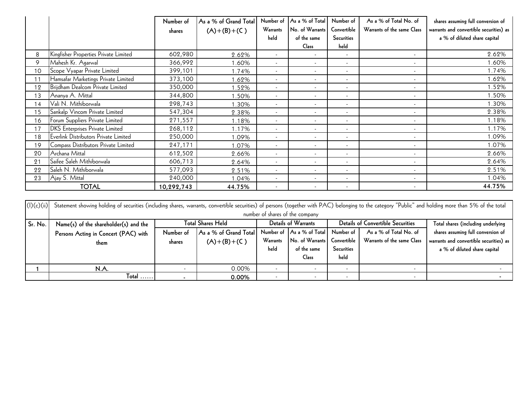|    |                                        | Number of<br>shares | As a % of Grand Total<br>$(A)+(B)+(C)$ | Number of<br>Warrants    | As a % of Total<br>No. of Warrants | Number of<br>Convertible | As a % of Total No. of<br>Warrants of the same Class | shares assuming full conversion of<br>warrants and convertible securities) as |
|----|----------------------------------------|---------------------|----------------------------------------|--------------------------|------------------------------------|--------------------------|------------------------------------------------------|-------------------------------------------------------------------------------|
|    |                                        |                     |                                        | held                     | of the same                        | <b>Securities</b>        |                                                      | a % of diluted share capital                                                  |
|    |                                        |                     |                                        |                          | Class                              | held                     |                                                      |                                                                               |
| 8  | Kingfisher Properties Private Limited  | 602,980             | 2.62%                                  | $\sim$                   |                                    | $\sim$                   | $\overline{\phantom{a}}$                             | 2.62%                                                                         |
| 9  | Mahesh Kr. Agarwal                     | 366,992             | 1.60%                                  | $\overline{\phantom{a}}$ | $\overline{\phantom{a}}$           | ٠                        | $\sim$                                               | 1.60%                                                                         |
| 10 | Scope Vyapar Private Limited           | 399,101             | 1.74%                                  | $\sim$                   | $\sim$                             | $\overline{\phantom{a}}$ | $\sim$                                               | 1.74%                                                                         |
| 11 | Hamsafar Marketings Private Limited    | 373,100             | .62%                                   | $\sim$                   | $\overline{\phantom{a}}$           | $\overline{\phantom{a}}$ | $\overline{\phantom{a}}$                             | 1.62%                                                                         |
| 12 | Brijdham Dealcom Private Limited       | 350,000             | .52%                                   | $\overline{\phantom{a}}$ | $\overline{\phantom{a}}$           | ٠                        | $\overline{\phantom{a}}$                             | 1.52%                                                                         |
| 13 | Ananya A. Mittal                       | 344,800             | .50%                                   | $\sim$                   | $\sim$                             | $\overline{\phantom{a}}$ | $\overline{\phantom{a}}$                             | 1.50%                                                                         |
| 14 | Vali N. Mithiborwala                   | 298,743             | .30%                                   | $\sim$                   | $\overline{\phantom{a}}$           | $\overline{\phantom{a}}$ | $\overline{\phantom{a}}$                             | 1.30%                                                                         |
| 15 | Sankalp Vincom Private Limited         | 547,304             | 2.38%                                  | $\sim$                   | $\overline{\phantom{a}}$           | $\overline{\phantom{a}}$ | ٠                                                    | 2.38%                                                                         |
| 16 | Forum Suppliers Private Limited        | 271,557             | 1.18%                                  | $\overline{\phantom{a}}$ | $\overline{\phantom{a}}$           | $\overline{\phantom{a}}$ | $\sim$                                               | 1.18%                                                                         |
| 17 | <b>DKS</b> Enterprises Private Limited | 268,112             | 1.17%                                  | $\overline{\phantom{a}}$ | $\overline{\phantom{a}}$           | ٠                        | $\sim$                                               | 1.17%                                                                         |
| 18 | Everlink Distributors Private Limited  | 250,000             | 1.09%                                  | $\overline{\phantom{a}}$ |                                    | ٠                        |                                                      | 1.09%                                                                         |
| 19 | Compass Distributors Private Limited   | 247,171             | 1.07%                                  | $\sim$                   | $\overline{\phantom{a}}$           | $\overline{\phantom{a}}$ | $\overline{\phantom{a}}$                             | 1.07%                                                                         |
| 20 | Archana Mittal                         | 612,502             | 2.66%                                  | $\overline{\phantom{a}}$ | $\overline{\phantom{a}}$           | $\overline{\phantom{a}}$ | $\overline{\phantom{a}}$                             | 2.66%                                                                         |
| 21 | Saifee Saleh Mithiborwala              | 606,713             | 2.64%                                  | $\overline{\phantom{a}}$ | $\overline{\phantom{a}}$           | $\overline{\phantom{a}}$ | $\overline{\phantom{a}}$                             | 2.64%                                                                         |
| 22 | Saleh N. Mithiborwala                  | 577,093             | 2.51%                                  | $\overline{\phantom{a}}$ | $\overline{\phantom{a}}$           | ٠                        | $\sim$                                               | 2.51%                                                                         |
| 23 | Ajay S. Mittal                         | 240,000             | 1.04%                                  | $\sim$                   | $\overline{\phantom{a}}$           | ٠                        | $\overline{\phantom{a}}$                             | 1.04%                                                                         |
|    | <b>TOTAL</b>                           | 10,292,743          | 44.75%                                 | $\overline{\phantom{a}}$ | $\overline{\phantom{a}}$           | $\overline{\phantom{a}}$ | $\overline{\phantom{a}}$                             | 44.75%                                                                        |

|            | Ajay S. Mittal                                                                                                                                                                                       | 240,000    | 1.04%                 |                          |                                          |                                    |                            | 1.04%                                   |  |  |
|------------|------------------------------------------------------------------------------------------------------------------------------------------------------------------------------------------------------|------------|-----------------------|--------------------------|------------------------------------------|------------------------------------|----------------------------|-----------------------------------------|--|--|
|            | <b>TOTAL</b>                                                                                                                                                                                         | 10,292,743 | 44.75%                |                          |                                          |                                    |                            | 44.75%                                  |  |  |
|            |                                                                                                                                                                                                      |            |                       |                          |                                          |                                    |                            |                                         |  |  |
| (l)(c)(ii) | Statement showing holding of securities (including shares, warrants, convertible securities) of persons (together with PAC) belonging to the category "Public" and holding more than 5% of the total |            |                       |                          |                                          |                                    |                            |                                         |  |  |
|            | number of shares of the company                                                                                                                                                                      |            |                       |                          |                                          |                                    |                            |                                         |  |  |
| Sr. No.    | <b>Total Shares Held</b><br>Name(s) of the shareholder(s) and the                                                                                                                                    |            | Details of Warrants   |                          | <b>Details of Convertible Securities</b> | Total shares (including underlying |                            |                                         |  |  |
|            | Persons Acting in Concert (PAC) with                                                                                                                                                                 | Number of  | As a % of Grand Total |                          | Number of As a % of Total                | Number of                          | As a % of Total No. of     | shares assuming full conversion of      |  |  |
|            | them                                                                                                                                                                                                 | shares     | $(A)+(B)+(C)$         | Warrants                 | No. of Warrants                          | Convertible                        | Warrants of the same Class | warrants and convertible securities) as |  |  |
|            |                                                                                                                                                                                                      |            |                       | held                     | of the same                              | Securities                         |                            | a % of diluted share capital            |  |  |
|            |                                                                                                                                                                                                      |            |                       |                          | <b>Class</b>                             | held                               |                            |                                         |  |  |
|            | N.A.                                                                                                                                                                                                 |            | 0.00%                 | $\overline{\phantom{a}}$ | $\sim$                                   |                                    |                            |                                         |  |  |
|            | $Total$                                                                                                                                                                                              |            | 0.00%                 | $\overline{\phantom{a}}$ | $\overline{\phantom{a}}$                 |                                    |                            |                                         |  |  |